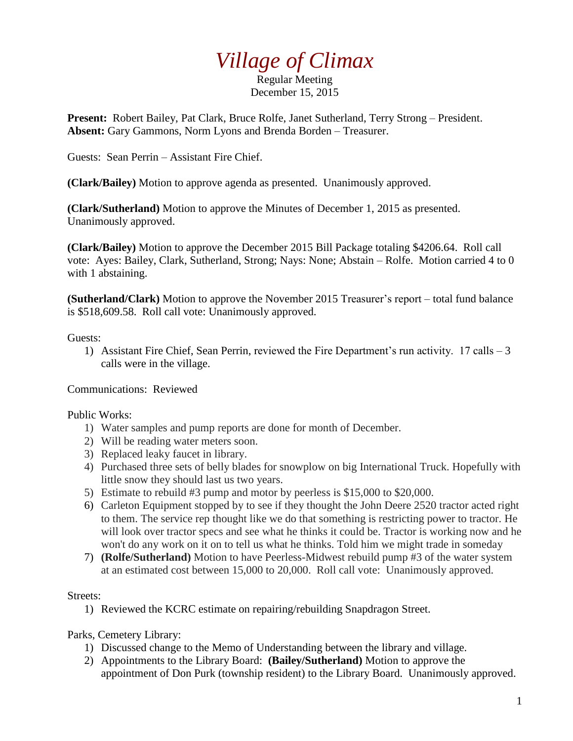## *Village of Climax*

Regular Meeting December 15, 2015

**Present:** Robert Bailey, Pat Clark, Bruce Rolfe, Janet Sutherland, Terry Strong – President. **Absent:** Gary Gammons, Norm Lyons and Brenda Borden – Treasurer.

Guests: Sean Perrin – Assistant Fire Chief.

**(Clark/Bailey)** Motion to approve agenda as presented. Unanimously approved.

**(Clark/Sutherland)** Motion to approve the Minutes of December 1, 2015 as presented. Unanimously approved.

**(Clark/Bailey)** Motion to approve the December 2015 Bill Package totaling \$4206.64. Roll call vote: Ayes: Bailey, Clark, Sutherland, Strong; Nays: None; Abstain – Rolfe. Motion carried 4 to 0 with 1 abstaining.

**(Sutherland/Clark)** Motion to approve the November 2015 Treasurer's report – total fund balance is \$518,609.58. Roll call vote: Unanimously approved.

Guests:

1) Assistant Fire Chief, Sean Perrin, reviewed the Fire Department's run activity. 17 calls – 3 calls were in the village.

Communications: Reviewed

Public Works:

- 1) Water samples and pump reports are done for month of December.
- 2) Will be reading water meters soon.
- 3) Replaced leaky faucet in library.
- 4) Purchased three sets of belly blades for snowplow on big International Truck. Hopefully with little snow they should last us two years.
- 5) Estimate to rebuild #3 pump and motor by peerless is \$15,000 to \$20,000.
- 6) Carleton Equipment stopped by to see if they thought the John Deere 2520 tractor acted right to them. The service rep thought like we do that something is restricting power to tractor. He will look over tractor specs and see what he thinks it could be. Tractor is working now and he won't do any work on it on to tell us what he thinks. Told him we might trade in someday
- 7) **(Rolfe/Sutherland)** Motion to have Peerless-Midwest rebuild pump #3 of the water system at an estimated cost between 15,000 to 20,000. Roll call vote: Unanimously approved.

Streets:

1) Reviewed the KCRC estimate on repairing/rebuilding Snapdragon Street.

Parks, Cemetery Library:

- 1) Discussed change to the Memo of Understanding between the library and village.
- 2) Appointments to the Library Board: **(Bailey/Sutherland)** Motion to approve the appointment of Don Purk (township resident) to the Library Board. Unanimously approved.